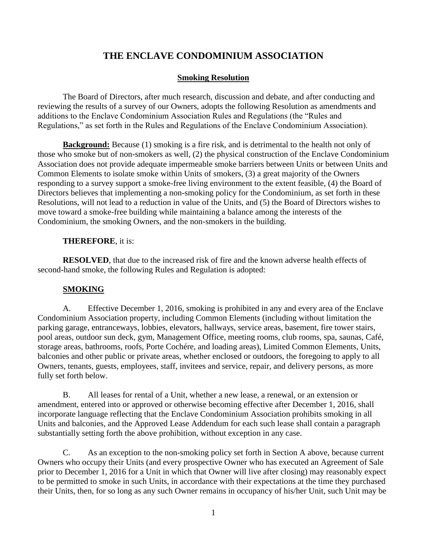# **THE ENCLAVE CONDOMINIUM ASSOCIATION**

#### **Smoking Resolution**

The Board of Directors, after much research, discussion and debate, and after conducting and reviewing the results of a survey of our Owners, adopts the following Resolution as amendments and additions to the Enclave Condominium Association Rules and Regulations (the "Rules and Regulations," as set forth in the Rules and Regulations of the Enclave Condominium Association).

**Background:** Because (1) smoking is a fire risk, and is detrimental to the health not only of those who smoke but of non-smokers as well, (2) the physical construction of the Enclave Condominium Association does not provide adequate impermeable smoke barriers between Units or between Units and Common Elements to isolate smoke within Units of smokers, (3) a great majority of the Owners responding to a survey support a smoke-free living environment to the extent feasible, (4) the Board of Directors believes that implementing a non-smoking policy for the Condominium, as set forth in these Resolutions, will not lead to a reduction in value of the Units, and (5) the Board of Directors wishes to move toward a smoke-free building while maintaining a balance among the interests of the Condominium, the smoking Owners, and the non-smokers in the building.

#### **THEREFORE**, it is:

**RESOLVED**, that due to the increased risk of fire and the known adverse health effects of second-hand smoke, the following Rules and Regulation is adopted:

### **SMOKING**

A. Effective December 1, 2016, smoking is prohibited in any and every area of the Enclave Condominium Association property, including Common Elements (including without limitation the parking garage, entranceways, lobbies, elevators, hallways, service areas, basement, fire tower stairs, pool areas, outdoor sun deck, gym, Management Office, meeting rooms, club rooms, spa, saunas, Café, storage areas, bathrooms, roofs, Porte Cochére, and loading areas), Limited Common Elements, Units, balconies and other public or private areas, whether enclosed or outdoors, the foregoing to apply to all Owners, tenants, guests, employees, staff, invitees and service, repair, and delivery persons, as more fully set forth below.

B. All leases for rental of a Unit, whether a new lease, a renewal, or an extension or amendment, entered into or approved or otherwise becoming effective after December 1, 2016, shall incorporate language reflecting that the Enclave Condominium Association prohibits smoking in all Units and balconies, and the Approved Lease Addendum for each such lease shall contain a paragraph substantially setting forth the above prohibition, without exception in any case.

C. As an exception to the non-smoking policy set forth in Section A above, because current Owners who occupy their Units (and every prospective Owner who has executed an Agreement of Sale prior to December 1, 2016 for a Unit in which that Owner will live after closing) may reasonably expect to be permitted to smoke in such Units, in accordance with their expectations at the time they purchased their Units, then, for so long as any such Owner remains in occupancy of his/her Unit, such Unit may be